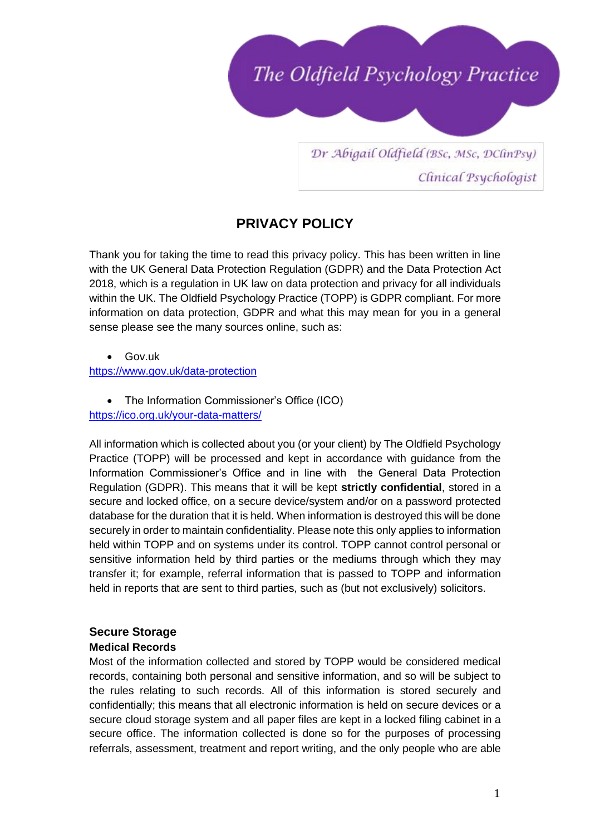

Dr Abigail Oldfield (BSc, MSc, DClinPsy) Clinical Psychologist

# **PRIVACY POLICY**

Thank you for taking the time to read this privacy policy. This has been written in line with the UK General Data Protection Regulation (GDPR) and the Data Protection Act 2018, which is a [regulation](https://en.wikipedia.org/wiki/Regulation_(European_Union)) in UK [law](https://en.wikipedia.org/wiki/EU_law) on [data protection](https://en.wikipedia.org/wiki/Data_protection) and privacy for all individuals within the [UK.](https://en.wikipedia.org/wiki/European_Union) The Oldfield Psychology Practice (TOPP) is GDPR compliant. For more information on data protection, GDPR and what this may mean for you in a general sense please see the many sources online, such as:

• Gov.uk <https://www.gov.uk/data-protection>

• The Information Commissioner's Office (ICO)

<https://ico.org.uk/your-data-matters/>

All information which is collected about you (or your client) by The Oldfield Psychology Practice (TOPP) will be processed and kept in accordance with guidance from the Information Commissioner's Office and in line with the General Data Protection Regulation (GDPR). This means that it will be kept **strictly confidential**, stored in a secure and locked office, on a secure device/system and/or on a password protected database for the duration that it is held. When information is destroyed this will be done securely in order to maintain confidentiality. Please note this only applies to information held within TOPP and on systems under its control. TOPP cannot control personal or sensitive information held by third parties or the mediums through which they may transfer it; for example, referral information that is passed to TOPP and information held in reports that are sent to third parties, such as (but not exclusively) solicitors.

# **Secure Storage**

## **Medical Records**

Most of the information collected and stored by TOPP would be considered medical records, containing both personal and sensitive information, and so will be subject to the rules relating to such records. All of this information is stored securely and confidentially; this means that all electronic information is held on secure devices or a secure cloud storage system and all paper files are kept in a locked filing cabinet in a secure office. The information collected is done so for the purposes of processing referrals, assessment, treatment and report writing, and the only people who are able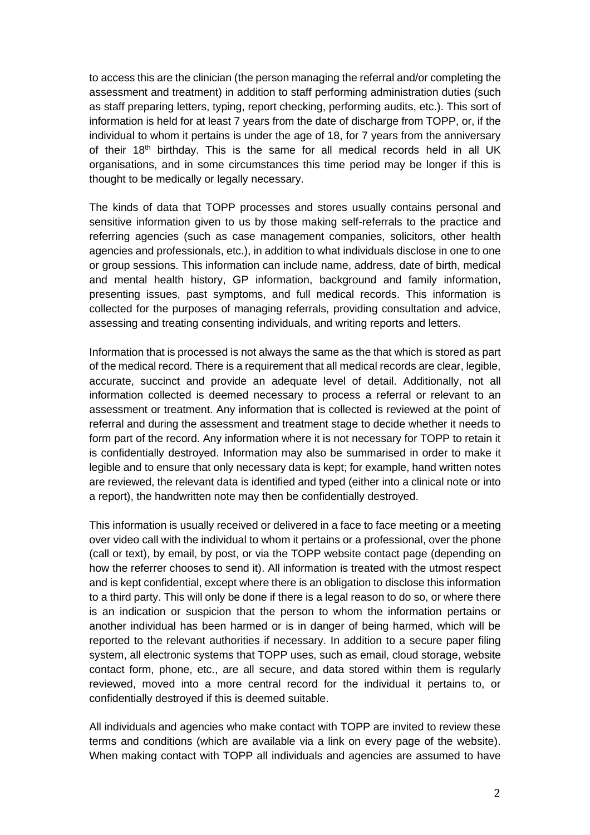to access this are the clinician (the person managing the referral and/or completing the assessment and treatment) in addition to staff performing administration duties (such as staff preparing letters, typing, report checking, performing audits, etc.). This sort of information is held for at least 7 years from the date of discharge from TOPP, or, if the individual to whom it pertains is under the age of 18, for 7 years from the anniversary of their  $18<sup>th</sup>$  birthday. This is the same for all medical records held in all UK organisations, and in some circumstances this time period may be longer if this is thought to be medically or legally necessary.

The kinds of data that TOPP processes and stores usually contains personal and sensitive information given to us by those making self-referrals to the practice and referring agencies (such as case management companies, solicitors, other health agencies and professionals, etc.), in addition to what individuals disclose in one to one or group sessions. This information can include name, address, date of birth, medical and mental health history, GP information, background and family information, presenting issues, past symptoms, and full medical records. This information is collected for the purposes of managing referrals, providing consultation and advice, assessing and treating consenting individuals, and writing reports and letters.

Information that is processed is not always the same as the that which is stored as part of the medical record. There is a requirement that all medical records are clear, legible, accurate, succinct and provide an adequate level of detail. Additionally, not all information collected is deemed necessary to process a referral or relevant to an assessment or treatment. Any information that is collected is reviewed at the point of referral and during the assessment and treatment stage to decide whether it needs to form part of the record. Any information where it is not necessary for TOPP to retain it is confidentially destroyed. Information may also be summarised in order to make it legible and to ensure that only necessary data is kept; for example, hand written notes are reviewed, the relevant data is identified and typed (either into a clinical note or into a report), the handwritten note may then be confidentially destroyed.

This information is usually received or delivered in a face to face meeting or a meeting over video call with the individual to whom it pertains or a professional, over the phone (call or text), by email, by post, or via the TOPP website contact page (depending on how the referrer chooses to send it). All information is treated with the utmost respect and is kept confidential, except where there is an obligation to disclose this information to a third party. This will only be done if there is a legal reason to do so, or where there is an indication or suspicion that the person to whom the information pertains or another individual has been harmed or is in danger of being harmed, which will be reported to the relevant authorities if necessary. In addition to a secure paper filing system, all electronic systems that TOPP uses, such as email, cloud storage, website contact form, phone, etc., are all secure, and data stored within them is regularly reviewed, moved into a more central record for the individual it pertains to, or confidentially destroyed if this is deemed suitable.

All individuals and agencies who make contact with TOPP are invited to review these terms and conditions (which are available via a link on every page of the website). When making contact with TOPP all individuals and agencies are assumed to have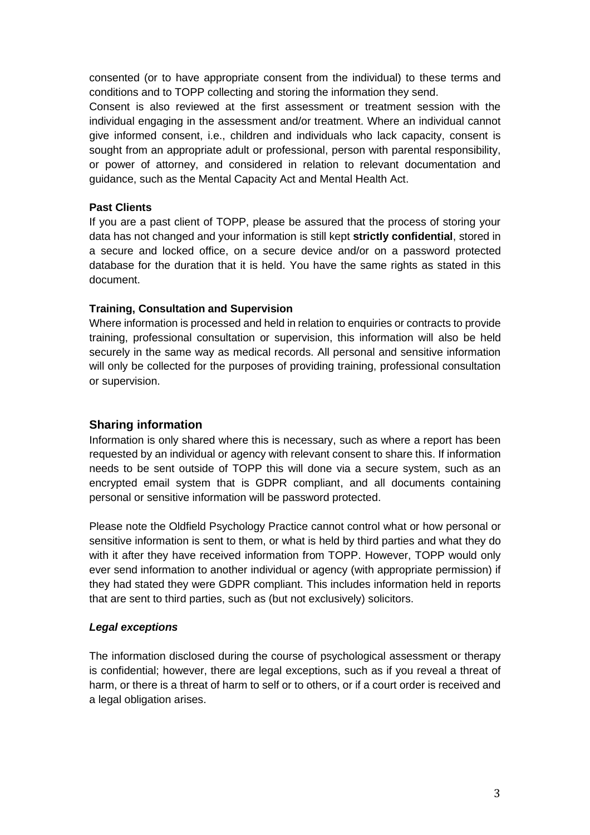consented (or to have appropriate consent from the individual) to these terms and conditions and to TOPP collecting and storing the information they send.

Consent is also reviewed at the first assessment or treatment session with the individual engaging in the assessment and/or treatment. Where an individual cannot give informed consent, i.e., children and individuals who lack capacity, consent is sought from an appropriate adult or professional, person with parental responsibility, or power of attorney, and considered in relation to relevant documentation and guidance, such as the Mental Capacity Act and Mental Health Act.

## **Past Clients**

If you are a past client of TOPP, please be assured that the process of storing your data has not changed and your information is still kept **strictly confidential**, stored in a secure and locked office, on a secure device and/or on a password protected database for the duration that it is held. You have the same rights as stated in this document.

## **Training, Consultation and Supervision**

Where information is processed and held in relation to enquiries or contracts to provide training, professional consultation or supervision, this information will also be held securely in the same way as medical records. All personal and sensitive information will only be collected for the purposes of providing training, professional consultation or supervision.

## **Sharing information**

Information is only shared where this is necessary, such as where a report has been requested by an individual or agency with relevant consent to share this. If information needs to be sent outside of TOPP this will done via a secure system, such as an encrypted email system that is GDPR compliant, and all documents containing personal or sensitive information will be password protected.

Please note the Oldfield Psychology Practice cannot control what or how personal or sensitive information is sent to them, or what is held by third parties and what they do with it after they have received information from TOPP. However, TOPP would only ever send information to another individual or agency (with appropriate permission) if they had stated they were GDPR compliant. This includes information held in reports that are sent to third parties, such as (but not exclusively) solicitors.

#### *Legal exceptions*

The information disclosed during the course of psychological assessment or therapy is confidential; however, there are legal exceptions, such as if you reveal a threat of harm, or there is a threat of harm to self or to others, or if a court order is received and a legal obligation arises.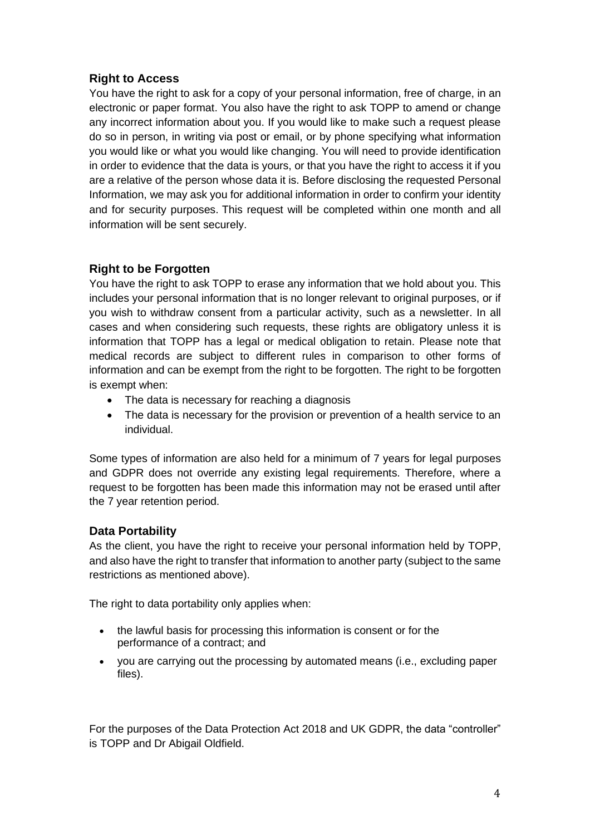# **Right to Access**

You have the right to ask for a copy of your personal information, free of charge, in an electronic or paper format. You also have the right to ask TOPP to amend or change any incorrect information about you. If you would like to make such a request please do so in person, in writing via post or email, or by phone specifying what information you would like or what you would like changing. You will need to provide identification in order to evidence that the data is yours, or that you have the right to access it if you are a relative of the person whose data it is. Before disclosing the requested Personal Information, we may ask you for additional information in order to confirm your identity and for security purposes. This request will be completed within one month and all information will be sent securely.

# **Right to be Forgotten**

You have the right to ask TOPP to erase any information that we hold about you. This includes your personal information that is no longer relevant to original purposes, or if you wish to withdraw consent from a particular activity, such as a newsletter. In all cases and when considering such requests, these rights are obligatory unless it is information that TOPP has a legal or medical obligation to retain. Please note that medical records are subject to different rules in comparison to other forms of information and can be exempt from the right to be forgotten. The right to be forgotten is exempt when:

- The data is necessary for reaching a diagnosis
- The data is necessary for the provision or prevention of a health service to an individual.

Some types of information are also held for a minimum of 7 years for legal purposes and GDPR does not override any existing legal requirements. Therefore, where a request to be forgotten has been made this information may not be erased until after the 7 year retention period.

## **Data Portability**

As the client, you have the right to receive your personal information held by TOPP, and also have the right to transfer that information to another party (subject to the same restrictions as mentioned above).

The right to data portability only applies when:

- the lawful basis for processing this information is consent or for the performance of a contract; and
- you are carrying out the processing by automated means (i.e., excluding paper files).

For the purposes of the Data Protection Act 2018 and UK GDPR, the data "controller" is TOPP and Dr Abigail Oldfield.